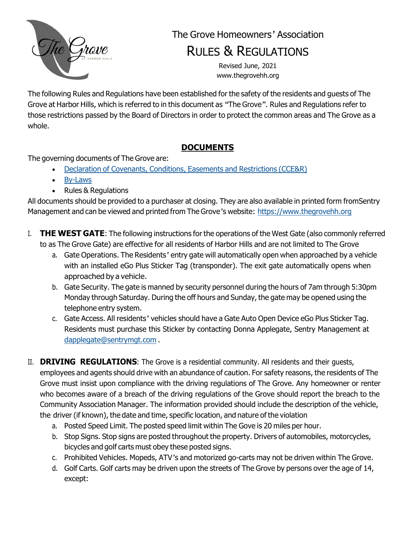

# The Grove Homeowners*'* Association

# RULES & REGULATIONS

Revised June, 2021 [www.thegrovehh.org](http://www.thegrovehh.org/)

The following Rules and Regulations have been established for the safety of the residents and guests of The Grove at Harbor Hills, which is referred to in this document as *"*The Grove*".* Rules and Regulations refer to those restrictions passed by the Board of Directors in order to protect the common areas and The Grove as a whole.

## **DOCUMENTS**

The governing documents of The Grove are:

- Declaration of Covenants, Conditions, Easements and [Restrictions](https://www.thegrovehh.org/Ghh001_-_Amended__Restated_Declaration_February_2008_CLEAN_second_revision2.pdf) (CCE&R)
- [By-Laws](https://www.thegrovehh.org/Grove__Bylaws_Feb_2008_CLEAN-adopted.pdf)
- Rules & Regulations

All documents should be provided to a purchaser at closing. They are also available in printed form fromSentry Management and can be viewed and printed from The Grove*'*s website: https:/[/www.thegrovehh.org](http://www.thegrovehh.org/)

- I. **THE WEST GATE**: The following instructions for the operations of the West Gate (also commonly referred to as The Grove Gate) are effective for all residents of Harbor Hills and are not limited to The Grove
	- a. Gate Operations. The Residents*'* entry gate will automatically open when approached by a vehicle with an installed eGo Plus Sticker Tag (transponder). The exit gate automatically opens when approached by a vehicle.
	- b. Gate Security. The gate is manned by security personnel during the hours of 7am through 5:30pm Monday through Saturday. During the off hours and Sunday, the gate may be opened using the telephone entry system.
	- c. Gate Access. All residents*'* vehicles should have a Gate Auto Open Device eGo Plus Sticker Tag. Residents must purchase this Sticker by contacting Donna Applegate, Sentry Management at [dapplegate@sentrymgt.com](mailto:dapplegate@sentrymgt.com) .
- II. **DRIVING REGULATIONS**: The Grove is a residential community. All residents and their guests, employees and agents should drive with an abundance of caution. For safety reasons, the residents of The Grove must insist upon compliance with the driving regulations of The Grove. Any homeowner or renter who becomes aware of a breach of the driving regulations of the Grove should report the breach to the Community Association Manager. The information provided should include the description of the vehicle, the driver (if known), the date and time, specific location, and nature of the violation
	- a. Posted Speed Limit. The posted speed limit within The Gove is 20 miles per hour.
	- b. Stop Signs. Stop signs are posted throughout the property. Drivers of automobiles, motorcycles, bicycles and golf carts must obey these posted signs.
	- c. Prohibited Vehicles. Mopeds, ATV*'*s and motorized go-carts may not be driven within The Grove.
	- d. Golf Carts. Golf carts may be driven upon the streets of The Grove by persons over the age of 14, except: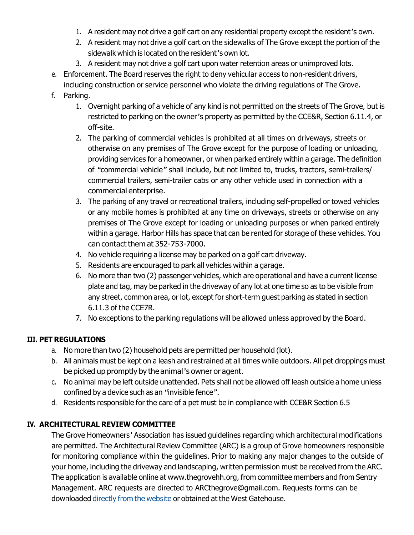- 1. A resident may not drive a golf cart on any residential property except the resident*'*s own.
- 2. A resident may not drive a golf cart on the sidewalks of The Grove except the portion of the sidewalk which is located on the resident*'*s own lot.
- 3. A resident may not drive a golf cart upon water retention areas or unimproved lots.
- e. Enforcement. The Board reserves the right to deny vehicular access to non-resident drivers, including construction or service personnel who violate the driving regulations of The Grove.
- f. Parking.
	- 1. Overnight parking of a vehicle of any kind is not permitted on the streets of The Grove, but is restricted to parking on the owner*'*s property as permitted by the CCE&R, Section 6.11.4, or off-site.
	- 2. The parking of commercial vehicles is prohibited at all times on driveways, streets or otherwise on any premises of The Grove except for the purpose of loading or unloading, providing services for a homeowner, or when parked entirely within a garage. The definition of *"*commercial vehicle*"* shall include, but not limited to, trucks, tractors, semi-trailers/ commercial trailers, semi-trailer cabs or any other vehicle used in connection with a commercial enterprise.
	- 3. The parking of any travel or recreational trailers, including self-propelled or towed vehicles or any mobile homes is prohibited at any time on driveways, streets or otherwise on any premises of The Grove except for loading or unloading purposes or when parked entirely within a garage. Harbor Hills has space that can be rented for storage of these vehicles. You can contact them at 352-753-7000.
	- 4. No vehicle requiring a license may be parked on a golf cart driveway.
	- 5. Residents are encouraged to park all vehicles within a garage.
	- 6. No more than two (2) passenger vehicles, which are operational and have a current license plate and tag, may be parked in the driveway of any lot at one time so as to be visible from any street, common area, or lot, except for short-term guest parking as stated in section 6.11.3 of the CCE7R.
	- 7. No exceptions to the parking regulations will be allowed unless approved by the Board.

## **III. PET REGULATIONS**

- a. No more than two (2) household pets are permitted per household (lot).
- b. All animals must be kept on a leash and restrained at all times while outdoors. All pet droppings must be picked up promptly by the animal*'*s owner or agent.
- c. No animal may be left outside unattended. Pets shall not be allowed off leash outside a home unless confined by a device such as an *"*invisible fence*".*
- d. Residents responsible for the care of a pet must be in compliance with CCE&R Section 6.5

## **IV. ARCHITECTURAL REVIEW COMMITTEE**

The Grove Homeowners*'* Association has issued guidelines regarding which architectural modifications are permitted. The Architectural Review Committee (ARC) is a group of Grove homeowners responsible for monitoring compliance within the guidelines. Prior to making any major changes to the outside of your home, including the driveway and landscaping, written permission must be received from the ARC. The application is available online at [www.thegrovehh.org,](http://www.thegrovehh.org/) from committee members and from Sentry Management. ARC requests are directed to [ARCthegrove@gmail.com. R](mailto:ARCthegrove@gmail.com)equests forms can be downloaded directly from the [website](https://thegrovehh.org/ARC.html) or obtained at the West Gatehouse.